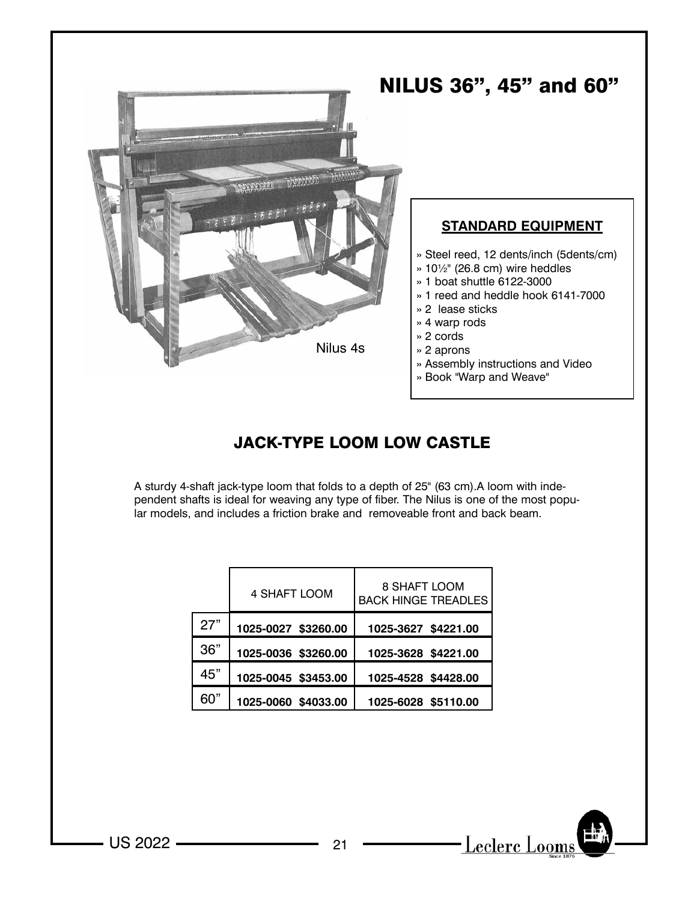

## JACK-TYPE LOOM LOW CASTLE

A sturdy 4-shaft jack-type loom that folds to a depth of 25" (63 cm).A loom with independent shafts is ideal for weaving any type of fiber. The Nilus is one of the most popular models, and includes a friction brake and removeable front and back beam.

|     | 4 SHAFT LOOM        | 8 SHAFT LOOM<br><b>BACK HINGE TREADLES</b> |
|-----|---------------------|--------------------------------------------|
| 27" | 1025-0027 \$3260.00 | 1025-3627 \$4221.00                        |
| 36" | 1025-0036 \$3260.00 | 1025-3628 \$4221.00                        |
| 45" | 1025-0045 \$3453.00 | 1025-4528 \$4428.00                        |
| 60" | 1025-0060 \$4033.00 | 1025-6028 \$5110.00                        |

 $-$  US 2022  $-$  21

Leclerc Looms